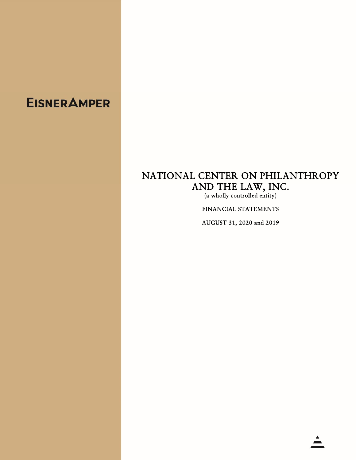# **EISNER AMPER**

# NATIONAL CENTER ON PHILANTHROPY AND THE LAW, INC.<br>(a wholly controlled entity)

FINANCIAL STATEMENTS

AUGUST 31, 2020 and 2019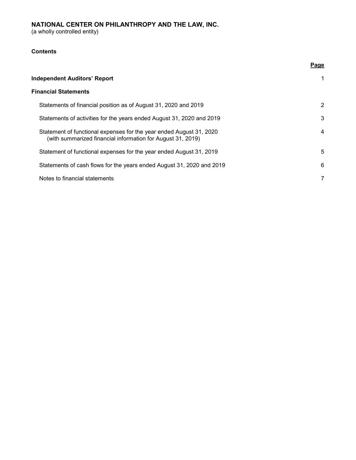(a wholly controlled entity)

## **Contents**

|                                                                                                                                    | <b>Page</b> |
|------------------------------------------------------------------------------------------------------------------------------------|-------------|
| <b>Independent Auditors' Report</b>                                                                                                |             |
| <b>Financial Statements</b>                                                                                                        |             |
| Statements of financial position as of August 31, 2020 and 2019                                                                    | 2           |
| Statements of activities for the years ended August 31, 2020 and 2019                                                              | 3           |
| Statement of functional expenses for the year ended August 31, 2020<br>(with summarized financial information for August 31, 2019) | 4           |
| Statement of functional expenses for the year ended August 31, 2019                                                                | 5           |
| Statements of cash flows for the years ended August 31, 2020 and 2019                                                              | 6           |
| Notes to financial statements                                                                                                      | 7           |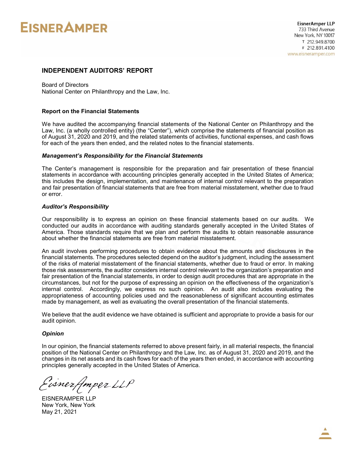# **EISNER AMPER**

## INDEPENDENT AUDITORS' REPORT

Board of Directors National Center on Philanthropy and the Law, Inc.

#### Report on the Financial Statements

We have audited the accompanying financial statements of the National Center on Philanthropy and the Law, Inc. (a wholly controlled entity) (the "Center"), which comprise the statements of financial position as of August 31, 2020 and 2019, and the related statements of activities, functional expenses, and cash flows for each of the years then ended, and the related notes to the financial statements.

#### Management's Responsibility for the Financial Statements

The Center's management is responsible for the preparation and fair presentation of these financial statements in accordance with accounting principles generally accepted in the United States of America; this includes the design, implementation, and maintenance of internal control relevant to the preparation and fair presentation of financial statements that are free from material misstatement, whether due to fraud or error.

#### Auditor's Responsibility

Our responsibility is to express an opinion on these financial statements based on our audits. We conducted our audits in accordance with auditing standards generally accepted in the United States of America. Those standards require that we plan and perform the audits to obtain reasonable assurance about whether the financial statements are free from material misstatement.

An audit involves performing procedures to obtain evidence about the amounts and disclosures in the financial statements. The procedures selected depend on the auditor's judgment, including the assessment of the risks of material misstatement of the financial statements, whether due to fraud or error. In making those risk assessments, the auditor considers internal control relevant to the organization's preparation and fair presentation of the financial statements, in order to design audit procedures that are appropriate in the circumstances, but not for the purpose of expressing an opinion on the effectiveness of the organization's internal control. Accordingly, we express no such opinion. An audit also includes evaluating the appropriateness of accounting policies used and the reasonableness of significant accounting estimates made by management, as well as evaluating the overall presentation of the financial statements.

We believe that the audit evidence we have obtained is sufficient and appropriate to provide a basis for our audit opinion.

#### **Opinion**

In our opinion, the financial statements referred to above present fairly, in all material respects, the financial position of the National Center on Philanthropy and the Law, Inc. as of August 31, 2020 and 2019, and the changes in its net assets and its cash flows for each of the years then ended, in accordance with accounting principles generally accepted in the United States of America.

Cisnerffmper LLP

EISNERAMPER LLP New York, New York May 21, 2021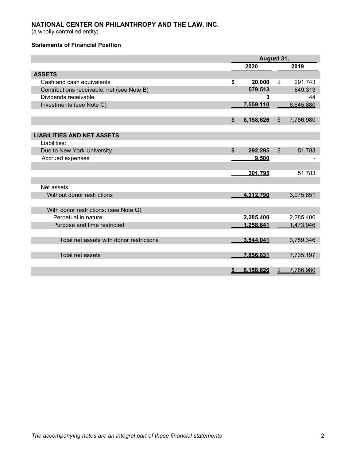(a wholly controlled entity)

# Statements of Financial Position

|                                            | August 31, |           |                           |           |  |
|--------------------------------------------|------------|-----------|---------------------------|-----------|--|
|                                            |            | 2020      |                           | 2019      |  |
| <b>ASSETS</b>                              |            |           |                           |           |  |
| Cash and cash equivalents                  | \$         | 20,000    | \$                        | 291,743   |  |
| Contributions receivable, net (see Note B) |            | 579,513   |                           | 849,313   |  |
| Dividends receivable                       |            | 3         |                           | 44        |  |
| Investments (see Note C)                   |            | 7.559.110 |                           | 6,645,880 |  |
|                                            |            |           |                           |           |  |
|                                            | \$         | 8,158,626 | $\mathfrak{D}$            | 7,786,980 |  |
|                                            |            |           |                           |           |  |
| <b>LIABILITIES AND NET ASSETS</b>          |            |           |                           |           |  |
| Liabilities:                               |            |           |                           |           |  |
| Due to New York University                 | \$         | 292,295   | $\boldsymbol{\mathsf{S}}$ | 51,783    |  |
| Accrued expenses                           |            | 9.500     |                           |           |  |
|                                            |            |           |                           |           |  |
|                                            |            | 301.795   |                           | 51,783    |  |
|                                            |            |           |                           |           |  |
| Net assets:                                |            |           |                           |           |  |
| Without donor restrictions                 |            | 4.312.790 |                           | 3,975,851 |  |
|                                            |            |           |                           |           |  |
| With donor restrictions: (see Note G)      |            |           |                           |           |  |
| Perpetual in nature                        |            | 2,285,400 |                           | 2,285,400 |  |
| Purpose and time restricted                |            | 1.258.641 |                           | 1,473,946 |  |
|                                            |            |           |                           |           |  |
| Total net assets with donor restrictions   |            | 3.544.041 |                           | 3,759,346 |  |
| <b>Total net assets</b>                    |            |           |                           |           |  |
|                                            |            | 7.856.831 |                           | 7,735,197 |  |
|                                            | \$         | 8,158,626 | $\mathfrak{D}$            | 7,786,980 |  |
|                                            |            |           |                           |           |  |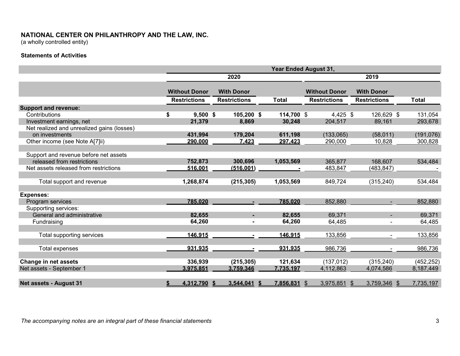(a wholly controlled entity)

## Statements of Activities

|                                            | <b>Year Ended August 31,</b> |                      |                     |  |              |                      |                                |              |  |  |  |
|--------------------------------------------|------------------------------|----------------------|---------------------|--|--------------|----------------------|--------------------------------|--------------|--|--|--|
| 2020                                       |                              |                      |                     |  |              | 2019                 |                                |              |  |  |  |
|                                            |                              | <b>Without Donor</b> | <b>With Donor</b>   |  |              | <b>Without Donor</b> | <b>With Donor</b>              |              |  |  |  |
|                                            |                              | <b>Restrictions</b>  | <b>Restrictions</b> |  | <b>Total</b> | <b>Restrictions</b>  | <b>Restrictions</b>            | <b>Total</b> |  |  |  |
| <b>Support and revenue:</b>                |                              |                      |                     |  |              |                      |                                |              |  |  |  |
| Contributions                              | \$                           | $9,500$ \$           | 105,200 \$          |  | 114,700 \$   | $4.425$ \$           | 126,629 \$                     | 131,054      |  |  |  |
| Investment earnings, net                   |                              | 21,379               | 8,869               |  | 30,248       | 204,517              | 89,161                         | 293,678      |  |  |  |
| Net realized and unrealized gains (losses) |                              |                      |                     |  |              |                      |                                |              |  |  |  |
| on investments                             |                              | 431,994              | 179,204             |  | 611,198      | (133,065)            | (58,011)                       | (191, 076)   |  |  |  |
| Other income (see Note A[7]ii)             |                              | 290.000              | 7.423               |  | 297.423      | 290,000              | 10,828                         | 300,828      |  |  |  |
| Support and revenue before net assets      |                              |                      |                     |  |              |                      |                                |              |  |  |  |
| released from restrictions                 |                              | 752,873              | 300,696             |  | 1,053,569    | 365,877              | 168,607                        | 534,484      |  |  |  |
| Net assets released from restrictions      |                              | 516.001              | (516.001)           |  |              | 483,847              | (483, 847)                     |              |  |  |  |
|                                            |                              |                      |                     |  |              |                      |                                |              |  |  |  |
| Total support and revenue                  |                              | 1,268,874            | (215, 305)          |  | 1,053,569    | 849,724              | (315, 240)                     | 534,484      |  |  |  |
| <b>Expenses:</b>                           |                              |                      |                     |  |              |                      |                                |              |  |  |  |
| Program services                           |                              | 785.020              |                     |  | 785.020      | 852,880              |                                | 852,880      |  |  |  |
| Supporting services:                       |                              |                      |                     |  |              |                      |                                |              |  |  |  |
| General and administrative                 |                              | 82,655               |                     |  | 82,655       | 69,371               |                                | 69,371       |  |  |  |
| Fundraising                                |                              | 64,260               |                     |  | 64,260       | 64,485               |                                | 64,485       |  |  |  |
|                                            |                              |                      |                     |  |              |                      |                                |              |  |  |  |
| Total supporting services                  |                              | 146.915              |                     |  | 146.915      | 133,856              |                                | 133,856      |  |  |  |
|                                            |                              |                      |                     |  | 931.935      | 986,736              |                                | 986,736      |  |  |  |
| Total expenses                             |                              | 931.935              |                     |  |              |                      |                                |              |  |  |  |
| <b>Change in net assets</b>                |                              | 336,939              | (215, 305)          |  | 121,634      | (137, 012)           | (315, 240)                     | (452, 252)   |  |  |  |
| Net assets - September 1                   |                              | 3.975.851            | 3.759.346           |  | 7.735.197    | 4,112,863            | 4,074,586                      | 8,187,449    |  |  |  |
|                                            |                              |                      |                     |  |              |                      |                                |              |  |  |  |
| <b>Net assets - August 31</b>              | \$                           | 4,312,790 \$         | 3,544,041           |  | 7,856,831 \$ | 3,975,851            | 3,759,346 \$<br>$\mathfrak{F}$ | 7,735,197    |  |  |  |

The accompanying notes are an integral part of these financial statements 3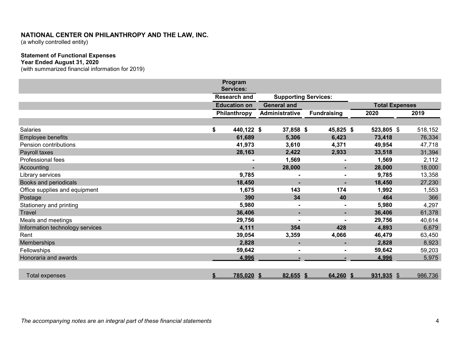(a wholly controlled entity)

#### Statement of Functional Expenses

#### Year Ended August 31, 2020

(with summarized financial information for 2019)

|                                 |                     | Program<br><b>Services:</b> |                    |                             |            |                       |  |
|---------------------------------|---------------------|-----------------------------|--------------------|-----------------------------|------------|-----------------------|--|
|                                 | <b>Research and</b> |                             |                    | <b>Supporting Services:</b> |            |                       |  |
|                                 |                     | <b>Education on</b>         | <b>General and</b> |                             |            | <b>Total Expenses</b> |  |
|                                 |                     | Philanthropy                | Administrative     | <b>Fundraising</b>          | 2020       | 2019                  |  |
|                                 |                     |                             |                    |                             |            |                       |  |
| Salaries                        | \$                  | 440,122 \$                  | 37,858 \$          | 45,825 \$                   | 523,805 \$ | 518,152               |  |
| Employee benefits               |                     | 61,689                      | 5,306              | 6,423                       | 73,418     | 76,334                |  |
| Pension contributions           |                     | 41,973                      | 3,610              | 4,371                       | 49,954     | 47,718                |  |
| Payroll taxes                   |                     | 28,163                      | 2,422              | 2,933                       | 33,518     | 31,394                |  |
| <b>Professional fees</b>        |                     |                             | 1,569              |                             | 1,569      | 2,112                 |  |
| Accounting                      |                     |                             | 28,000             |                             | 28,000     | 18,000                |  |
| Library services                |                     | 9,785                       |                    |                             | 9,785      | 13,358                |  |
| <b>Books and periodicals</b>    |                     | 18,450                      |                    | ٠                           | 18,450     | 27,230                |  |
| Office supplies and equipment   |                     | 1,675                       | 143                | 174                         | 1,992      | 1,553                 |  |
| Postage                         |                     | 390                         | 34                 | 40                          | 464        | 366                   |  |
| Stationery and printing         |                     | 5,980                       |                    |                             | 5,980      | 4,297                 |  |
| Travel                          |                     | 36,406                      |                    | ۰.                          | 36,406     | 61,378                |  |
| Meals and meetings              |                     | 29,756                      |                    |                             | 29,756     | 40,614                |  |
| Information technology services |                     | 4,111                       | 354                | 428                         | 4,893      | 6,679                 |  |
| Rent                            |                     | 39,054                      | 3,359              | 4,066                       | 46,479     | 63,450                |  |
| Memberships                     |                     | 2,828                       |                    |                             | 2,828      | 8,923                 |  |
| Fellowships                     |                     | 59,642                      |                    |                             | 59,642     | 59,203                |  |
| Honoraria and awards            |                     | 4.996                       |                    |                             | 4.996      | 5,975                 |  |
|                                 |                     |                             |                    |                             |            |                       |  |
| Total expenses                  | \$                  | 785,020                     | $82,655$ \$<br>- 5 | $64,260$ \$                 | 931,935 \$ | 986,736               |  |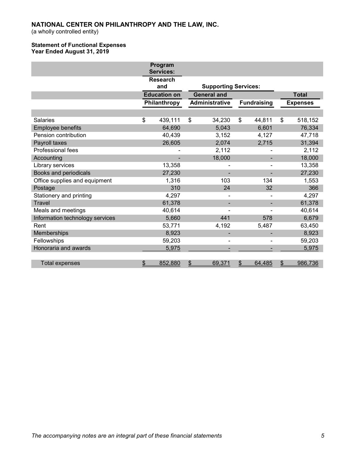(a wholly controlled entity)

#### Statement of Functional Expenses Year Ended August 31, 2019

|                                 | Program<br><b>Services:</b> |               |                             |               |                |               |         |  |              |  |  |  |                    |  |                 |
|---------------------------------|-----------------------------|---------------|-----------------------------|---------------|----------------|---------------|---------|--|--------------|--|--|--|--------------------|--|-----------------|
|                                 | <b>Research</b><br>and      |               | <b>Supporting Services:</b> |               |                |               |         |  |              |  |  |  |                    |  |                 |
|                                 | <b>Education on</b>         |               | <b>General and</b>          |               |                |               |         |  | <b>Total</b> |  |  |  |                    |  |                 |
|                                 | Philanthropy                |               |                             |               | Administrative |               |         |  |              |  |  |  | <b>Fundraising</b> |  | <b>Expenses</b> |
|                                 |                             |               |                             |               |                |               |         |  |              |  |  |  |                    |  |                 |
| <b>Salaries</b>                 | \$<br>439,111               | \$            | 34,230                      | \$            | 44,811         | \$            | 518,152 |  |              |  |  |  |                    |  |                 |
| Employee benefits               | 64,690                      |               | 5,043                       |               | 6,601          |               | 76,334  |  |              |  |  |  |                    |  |                 |
| Pension contribution            | 40,439                      |               | 3,152                       |               | 4,127          |               | 47,718  |  |              |  |  |  |                    |  |                 |
| Payroll taxes                   | 26,605                      |               | 2,074                       |               | 2,715          |               | 31,394  |  |              |  |  |  |                    |  |                 |
| Professional fees               |                             |               | 2,112                       |               |                |               | 2,112   |  |              |  |  |  |                    |  |                 |
| Accounting                      |                             |               | 18,000                      |               |                |               | 18,000  |  |              |  |  |  |                    |  |                 |
| Library services                | 13,358                      |               | ٠                           |               |                |               | 13,358  |  |              |  |  |  |                    |  |                 |
| Books and periodicals           | 27,230                      |               |                             |               |                |               | 27,230  |  |              |  |  |  |                    |  |                 |
| Office supplies and equipment   | 1,316                       |               | 103                         |               | 134            |               | 1,553   |  |              |  |  |  |                    |  |                 |
| Postage                         | 310                         |               | 24                          |               | 32             |               | 366     |  |              |  |  |  |                    |  |                 |
| Stationery and printing         | 4,297                       |               |                             |               |                |               | 4,297   |  |              |  |  |  |                    |  |                 |
| <b>Travel</b>                   | 61,378                      |               |                             |               |                |               | 61,378  |  |              |  |  |  |                    |  |                 |
| Meals and meetings              | 40,614                      |               | $\overline{\phantom{0}}$    |               |                |               | 40,614  |  |              |  |  |  |                    |  |                 |
| Information technology services | 5,660                       |               | 441                         |               | 578            |               | 6,679   |  |              |  |  |  |                    |  |                 |
| Rent                            | 53,771                      |               | 4,192                       |               | 5,487          |               | 63,450  |  |              |  |  |  |                    |  |                 |
| Memberships                     | 8,923                       |               |                             |               |                |               | 8,923   |  |              |  |  |  |                    |  |                 |
| Fellowships                     | 59,203                      |               |                             |               |                |               | 59,203  |  |              |  |  |  |                    |  |                 |
| Honoraria and awards            | 5,975                       |               |                             |               |                |               | 5,975   |  |              |  |  |  |                    |  |                 |
|                                 |                             |               |                             |               |                |               |         |  |              |  |  |  |                    |  |                 |
| <b>Total expenses</b>           | \$<br>852,880               | $\frac{1}{2}$ | 69,371                      | $\frac{1}{2}$ | 64,485         | $\frac{1}{2}$ | 986,736 |  |              |  |  |  |                    |  |                 |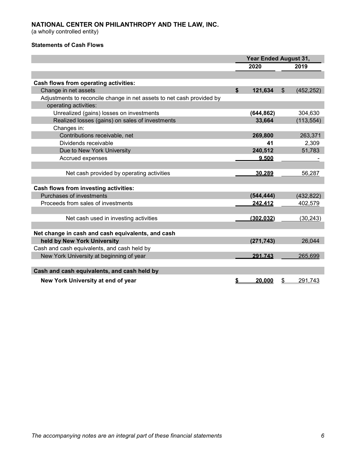(a wholly controlled entity)

## Statements of Cash Flows

|                                                                       | Year Ended August 31, |            |    |            |
|-----------------------------------------------------------------------|-----------------------|------------|----|------------|
|                                                                       |                       | 2020       |    | 2019       |
|                                                                       |                       |            |    |            |
| Cash flows from operating activities:                                 |                       |            |    |            |
| Change in net assets                                                  | \$                    | 121,634    | \$ | (452, 252) |
| Adjustments to reconcile change in net assets to net cash provided by |                       |            |    |            |
| operating activities:                                                 |                       |            |    |            |
| Unrealized (gains) losses on investments                              |                       | (644, 862) |    | 304,630    |
| Realized losses (gains) on sales of investments                       |                       | 33,664     |    | (113, 554) |
| Changes in:                                                           |                       |            |    |            |
| Contributions receivable, net                                         |                       | 269,800    |    | 263,371    |
| Dividends receivable                                                  |                       | 41         |    | 2,309      |
| Due to New York University                                            |                       | 240,512    |    | 51,783     |
| Accrued expenses                                                      |                       | 9.500      |    |            |
|                                                                       |                       |            |    |            |
| Net cash provided by operating activities                             |                       | 30.289     |    | 56,287     |
|                                                                       |                       |            |    |            |
| Cash flows from investing activities:                                 |                       |            |    |            |
| Purchases of investments                                              |                       | (544, 444) |    | (432, 822) |
| Proceeds from sales of investments                                    |                       | 242.412    |    | 402,579    |
|                                                                       |                       |            |    |            |
| Net cash used in investing activities                                 |                       | (302.032)  |    | (30, 243)  |
|                                                                       |                       |            |    |            |
| Net change in cash and cash equivalents, and cash                     |                       |            |    |            |
| held by New York University                                           |                       | (271, 743) |    | 26,044     |
| Cash and cash equivalents, and cash held by                           |                       |            |    |            |
| New York University at beginning of year                              |                       | 291.743    |    | 265,699    |
|                                                                       |                       |            |    |            |
| Cash and cash equivalents, and cash held by                           |                       |            |    |            |
| New York University at end of year                                    | S                     | 20,000     | \$ | 291,743    |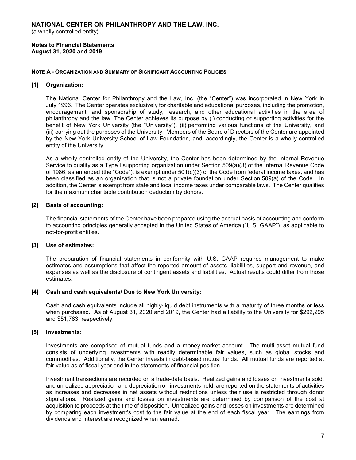(a wholly controlled entity)

Notes to Financial Statements August 31, 2020 and 2019

#### NOTE A - ORGANIZATION AND SUMMARY OF SIGNIFICANT ACCOUNTING POLICIES

#### [1] Organization:

The National Center for Philanthropy and the Law, Inc. (the "Center") was incorporated in New York in July 1996. The Center operates exclusively for charitable and educational purposes, including the promotion, encouragement, and sponsorship of study, research, and other educational activities in the area of philanthropy and the law. The Center achieves its purpose by (i) conducting or supporting activities for the benefit of New York University (the "University"), (ii) performing various functions of the University, and (iii) carrying out the purposes of the University. Members of the Board of Directors of the Center are appointed by the New York University School of Law Foundation, and, accordingly, the Center is a wholly controlled entity of the University.

As a wholly controlled entity of the University, the Center has been determined by the Internal Revenue Service to qualify as a Type I supporting organization under Section 509(a)(3) of the Internal Revenue Code of 1986, as amended (the "Code"), is exempt under  $501(c)(3)$  of the Code from federal income taxes, and has been classified as an organization that is not a private foundation under Section 509(a) of the Code. In addition, the Center is exempt from state and local income taxes under comparable laws. The Center qualifies for the maximum charitable contribution deduction by donors.

#### [2] Basis of accounting:

The financial statements of the Center have been prepared using the accrual basis of accounting and conform to accounting principles generally accepted in the United States of America ("U.S. GAAP"), as applicable to not-for-profit entities.

#### [3] Use of estimates:

The preparation of financial statements in conformity with U.S. GAAP requires management to make estimates and assumptions that affect the reported amount of assets, liabilities, support and revenue, and expenses as well as the disclosure of contingent assets and liabilities. Actual results could differ from those estimates.

#### [4] Cash and cash equivalents/ Due to New York University:

Cash and cash equivalents include all highly-liquid debt instruments with a maturity of three months or less when purchased. As of August 31, 2020 and 2019, the Center had a liability to the University for \$292,295 and \$51,783, respectively.

#### [5] Investments:

Investments are comprised of mutual funds and a money-market account. The multi-asset mutual fund consists of underlying investments with readily determinable fair values, such as global stocks and commodities. Additionally, the Center invests in debt-based mutual funds. All mutual funds are reported at fair value as of fiscal-year end in the statements of financial position.

Investment transactions are recorded on a trade-date basis. Realized gains and losses on investments sold, and unrealized appreciation and depreciation on investments held, are reported on the statements of activities as increases and decreases in net assets without restrictions unless their use is restricted through donor stipulations. Realized gains and losses on investments are determined by comparison of the cost at acquisition to proceeds at the time of disposition. Unrealized gains and losses on investments are determined by comparing each investment's cost to the fair value at the end of each fiscal year. The earnings from dividends and interest are recognized when earned.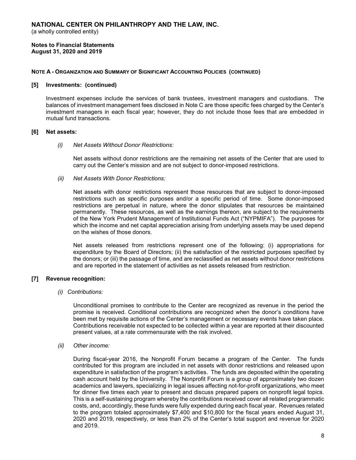(a wholly controlled entity)

#### Notes to Financial Statements August 31, 2020 and 2019

#### NOTE A - ORGANIZATION AND SUMMARY OF SIGNIFICANT ACCOUNTING POLICIES (CONTINUED)

#### [5] Investments: (continued)

Investment expenses include the services of bank trustees, investment managers and custodians. The balances of investment management fees disclosed in Note C are those specific fees charged by the Center's investment managers in each fiscal year; however, they do not include those fees that are embedded in mutual fund transactions.

#### [6] Net assets:

(i) Net Assets Without Donor Restrictions:

Net assets without donor restrictions are the remaining net assets of the Center that are used to carry out the Center's mission and are not subject to donor-imposed restrictions.

(ii) Net Assets With Donor Restrictions:

Net assets with donor restrictions represent those resources that are subject to donor-imposed restrictions such as specific purposes and/or a specific period of time. Some donor-imposed restrictions are perpetual in nature, where the donor stipulates that resources be maintained permanently. These resources, as well as the earnings thereon, are subject to the requirements of the New York Prudent Management of Institutional Funds Act ("NYPMIFA"). The purposes for which the income and net capital appreciation arising from underlying assets may be used depend on the wishes of those donors.

Net assets released from restrictions represent one of the following: (i) appropriations for expenditure by the Board of Directors; (ii) the satisfaction of the restricted purposes specified by the donors; or (iii) the passage of time, and are reclassified as net assets without donor restrictions and are reported in the statement of activities as net assets released from restriction.

#### [7] Revenue recognition:

#### (i) Contributions:

Unconditional promises to contribute to the Center are recognized as revenue in the period the promise is received. Conditional contributions are recognized when the donor's conditions have been met by requisite actions of the Center's management or necessary events have taken place. Contributions receivable not expected to be collected within a year are reported at their discounted present values, at a rate commensurate with the risk involved.

(ii) Other income:

During fiscal-year 2016, the Nonprofit Forum became a program of the Center. The funds contributed for this program are included in net assets with donor restrictions and released upon expenditure in satisfaction of the program's activities. The funds are deposited within the operating cash account held by the University. The Nonprofit Forum is a group of approximately two dozen academics and lawyers, specializing in legal issues affecting not-for-profit organizations, who meet for dinner five times each year to present and discuss prepared papers on nonprofit legal topics. This is a self-sustaining program whereby the contributions received cover all related programmatic costs, and, accordingly, these funds were fully expended during each fiscal year. Revenues related to the program totaled approximately \$7,400 and \$10,800 for the fiscal years ended August 31, 2020 and 2019, respectively, or less than 2% of the Center's total support and revenue for 2020 and 2019.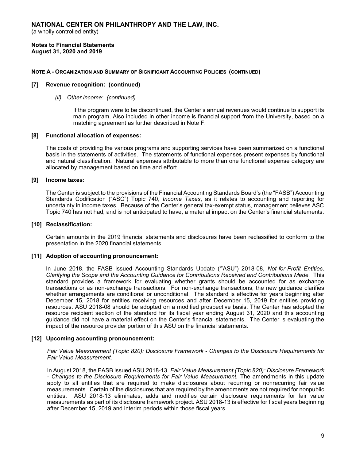(a wholly controlled entity)

Notes to Financial Statements August 31, 2020 and 2019

#### NOTE A - ORGANIZATION AND SUMMARY OF SIGNIFICANT ACCOUNTING POLICIES (CONTINUED)

#### [7] Revenue recognition: (continued)

#### (ii) Other income: (continued)

If the program were to be discontinued, the Center's annual revenues would continue to support its main program. Also included in other income is financial support from the University, based on a matching agreement as further described in Note F.

#### [8] Functional allocation of expenses:

The costs of providing the various programs and supporting services have been summarized on a functional basis in the statements of activities. The statements of functional expenses present expenses by functional and natural classification. Natural expenses attributable to more than one functional expense category are allocated by management based on time and effort.

#### [9] Income taxes:

The Center is subject to the provisions of the Financial Accounting Standards Board's (the "FASB") Accounting Standards Codification ("ASC") Topic 740, Income Taxes, as it relates to accounting and reporting for uncertainty in income taxes. Because of the Center's general tax-exempt status, management believes ASC Topic 740 has not had, and is not anticipated to have, a material impact on the Center's financial statements.

#### [10] Reclassification:

Certain amounts in the 2019 financial statements and disclosures have been reclassified to conform to the presentation in the 2020 financial statements.

#### [11] Adoption of accounting pronouncement:

In June 2018, the FASB issued Accounting Standards Update ("ASU") 2018-08, Not-for-Profit Entities, Clarifying the Scope and the Accounting Guidance for Contributions Received and Contributions Made. This standard provides a framework for evaluating whether grants should be accounted for as exchange transactions or as non-exchange transactions. For non-exchange transactions, the new guidance clarifies whether arrangements are conditional or unconditional. The standard is effective for years beginning after December 15, 2018 for entities receiving resources and after December 15, 2019 for entities providing resources. ASU 2018-08 should be adopted on a modified prospective basis. The Center has adopted the resource recipient section of the standard for its fiscal year ending August 31, 2020 and this accounting guidance did not have a material effect on the Center's financial statements. The Center is evaluating the impact of the resource provider portion of this ASU on the financial statements.

#### [12] Upcoming accounting pronouncement:

Fair Value Measurement (Topic 820): Disclosure Framework - Changes to the Disclosure Requirements for Fair Value Measurement.

In August 2018, the FASB issued ASU 2018-13, Fair Value Measurement (Topic 820): Disclosure Framework - Changes to the Disclosure Requirements for Fair Value Measurement. The amendments in this update apply to all entities that are required to make disclosures about recurring or nonrecurring fair value measurements. Certain of the disclosures that are required by the amendments are not required for nonpublic entities. ASU 2018-13 eliminates, adds and modifies certain disclosure requirements for fair value measurements as part of its disclosure framework project. ASU 2018-13 is effective for fiscal years beginning after December 15, 2019 and interim periods within those fiscal years.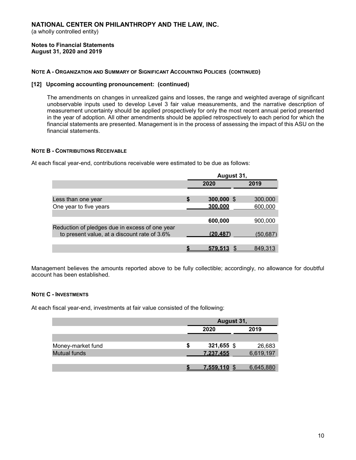(a wholly controlled entity)

Notes to Financial Statements August 31, 2020 and 2019

#### NOTE A - ORGANIZATION AND SUMMARY OF SIGNIFICANT ACCOUNTING POLICIES (CONTINUED)

#### [12] Upcoming accounting pronouncement: (continued)

The amendments on changes in unrealized gains and losses, the range and weighted average of significant unobservable inputs used to develop Level 3 fair value measurements, and the narrative description of measurement uncertainty should be applied prospectively for only the most recent annual period presented in the year of adoption. All other amendments should be applied retrospectively to each period for which the financial statements are presented. Management is in the process of assessing the impact of this ASU on the financial statements.

#### NOTE B - CONTRIBUTIONS RECEIVABLE

At each fiscal year-end, contributions receivable were estimated to be due as follows:

|                                                | August 31, |            |  |           |  |  |
|------------------------------------------------|------------|------------|--|-----------|--|--|
|                                                | 2020       |            |  | 2019      |  |  |
|                                                |            |            |  |           |  |  |
| Less than one year                             | S          | 300,000 \$ |  | 300,000   |  |  |
| One year to five years                         |            | 300.000    |  | 600,000   |  |  |
|                                                |            |            |  |           |  |  |
|                                                |            | 600,000    |  | 900,000   |  |  |
| Reduction of pledges due in excess of one year |            |            |  |           |  |  |
| to present value, at a discount rate of 3.6%   |            | (20.487)   |  | (50, 687) |  |  |
|                                                |            |            |  |           |  |  |
|                                                |            | 579,513    |  | 849,313   |  |  |
|                                                |            |            |  |           |  |  |

Management believes the amounts reported above to be fully collectible; accordingly, no allowance for doubtful account has been established.

## NOTE C - INVESTMENTS

At each fiscal year-end, investments at fair value consisted of the following:

|                   | August 31, |                     |  |           |  |  |  |
|-------------------|------------|---------------------|--|-----------|--|--|--|
|                   | 2020       |                     |  | 2019      |  |  |  |
|                   |            |                     |  |           |  |  |  |
| Money-market fund | S          | 321,655 \$          |  | 26,683    |  |  |  |
| Mutual funds      |            | <u>7.237.455</u>    |  | 6,619,197 |  |  |  |
|                   |            |                     |  |           |  |  |  |
|                   |            | <u>7.559.110</u> \$ |  | 6,645,880 |  |  |  |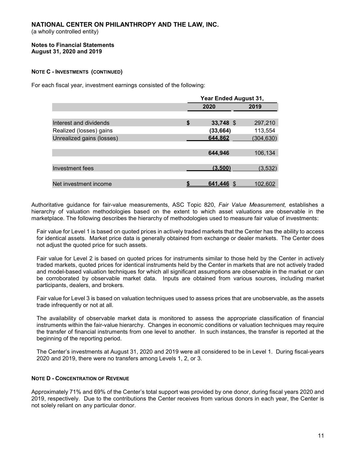(a wholly controlled entity)

#### Notes to Financial Statements August 31, 2020 and 2019

## NOTE C - INVESTMENTS (CONTINUED)

For each fiscal year, investment earnings consisted of the following:

|                           |                 | Year Ended August 31, |  |  |  |  |  |  |
|---------------------------|-----------------|-----------------------|--|--|--|--|--|--|
|                           | 2020            | 2019                  |  |  |  |  |  |  |
| Interest and dividends    | \$<br>33,748 \$ | 297,210               |  |  |  |  |  |  |
| Realized (losses) gains   | (33, 664)       | 113,554               |  |  |  |  |  |  |
| Unrealized gains (losses) | 644.862         | (304, 630)            |  |  |  |  |  |  |
|                           | 644,946         | 106,134               |  |  |  |  |  |  |
| Investment fees           | (3.500)         | (3, 532)              |  |  |  |  |  |  |
| Net investment income     | 641,446 \$      | 102,602               |  |  |  |  |  |  |

Authoritative guidance for fair-value measurements, ASC Topic 820, Fair Value Measurement, establishes a hierarchy of valuation methodologies based on the extent to which asset valuations are observable in the marketplace. The following describes the hierarchy of methodologies used to measure fair value of investments:

Fair value for Level 1 is based on quoted prices in actively traded markets that the Center has the ability to access for identical assets. Market price data is generally obtained from exchange or dealer markets. The Center does not adjust the quoted price for such assets.

Fair value for Level 2 is based on quoted prices for instruments similar to those held by the Center in actively traded markets, quoted prices for identical instruments held by the Center in markets that are not actively traded and model-based valuation techniques for which all significant assumptions are observable in the market or can be corroborated by observable market data. Inputs are obtained from various sources, including market participants, dealers, and brokers.

Fair value for Level 3 is based on valuation techniques used to assess prices that are unobservable, as the assets trade infrequently or not at all.

The availability of observable market data is monitored to assess the appropriate classification of financial instruments within the fair-value hierarchy. Changes in economic conditions or valuation techniques may require the transfer of financial instruments from one level to another. In such instances, the transfer is reported at the beginning of the reporting period.

The Center's investments at August 31, 2020 and 2019 were all considered to be in Level 1. During fiscal-years 2020 and 2019, there were no transfers among Levels 1, 2, or 3.

#### NOTE D - CONCENTRATION OF REVENUE

Approximately 71% and 69% of the Center's total support was provided by one donor, during fiscal years 2020 and 2019, respectively. Due to the contributions the Center receives from various donors in each year, the Center is not solely reliant on any particular donor.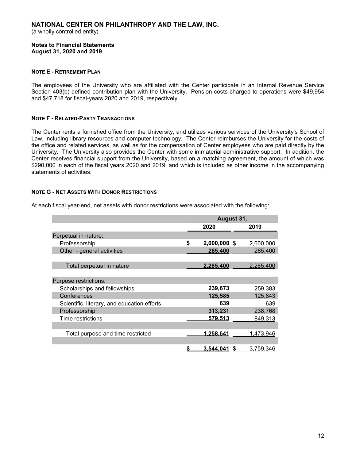(a wholly controlled entity)

#### Notes to Financial Statements August 31, 2020 and 2019

## NOTE E - RETIREMENT PLAN

The employees of the University who are affiliated with the Center participate in an Internal Revenue Service Section 403(b) defined-contribution plan with the University. Pension costs charged to operations were \$49,954 and \$47,718 for fiscal-years 2020 and 2019, respectively.

## NOTE F - RELATED-PARTY TRANSACTIONS

The Center rents a furnished office from the University, and utilizes various services of the University's School of Law, including library resources and computer technology. The Center reimburses the University for the costs of the office and related services, as well as for the compensation of Center employees who are paid directly by the University. The University also provides the Center with some immaterial administrative support. In addition, the Center receives financial support from the University, based on a matching agreement, the amount of which was \$290,000 in each of the fiscal years 2020 and 2019, and which is included as other income in the accompanying statements of activities.

## NOTE G - NET ASSETS WITH DONOR RESTRICTIONS

At each fiscal year-end, net assets with donor restrictions were associated with the following:

| August 31, |                  |  |              |  |  |
|------------|------------------|--|--------------|--|--|
|            | 2020             |  | 2019         |  |  |
|            |                  |  |              |  |  |
| \$         |                  |  | 2,000,000    |  |  |
|            | 285.400          |  | 285,400      |  |  |
|            |                  |  |              |  |  |
|            | 2.285.400        |  | 2,285,400    |  |  |
|            |                  |  |              |  |  |
|            |                  |  |              |  |  |
|            | 239,673          |  | 259,383      |  |  |
|            | 125,585          |  | 125,843      |  |  |
|            | 639              |  | 639          |  |  |
|            | 313,231          |  | 238,768      |  |  |
|            | 579.513          |  | 849,313      |  |  |
|            |                  |  |              |  |  |
|            | 1.258.641        |  | 1,473,946    |  |  |
|            |                  |  |              |  |  |
|            | <u>3,544,041</u> |  | 3,759,346    |  |  |
|            |                  |  | 2,000,000 \$ |  |  |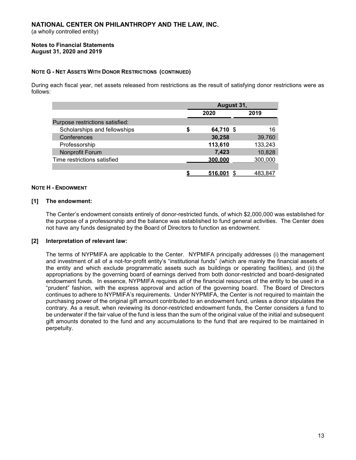(a wholly controlled entity)

#### Notes to Financial Statements August 31, 2020 and 2019

## NOTE G - NET ASSETS WITH DONOR RESTRICTIONS (CONTINUED)

During each fiscal year, net assets released from restrictions as the result of satisfying donor restrictions were as follows:

|                                 | August 31, |               |  |         |  |  |
|---------------------------------|------------|---------------|--|---------|--|--|
|                                 | 2020       |               |  | 2019    |  |  |
| Purpose restrictions satisfied: |            |               |  |         |  |  |
| Scholarships and fellowships    | \$         | 64,710 \$     |  | 16      |  |  |
| Conferences                     |            | 30,258        |  | 39,760  |  |  |
| Professorship                   |            | 113,610       |  | 133,243 |  |  |
| Nonprofit Forum                 |            | 7,423         |  | 10,828  |  |  |
| Time restrictions satisfied     |            | 300,000       |  | 300,000 |  |  |
|                                 |            |               |  |         |  |  |
|                                 |            | <u>516.00</u> |  | 483,847 |  |  |

#### NOTE H - ENDOWMENT

#### [1] The endowment:

The Center's endowment consists entirely of donor-restricted funds, of which \$2,000,000 was established for the purpose of a professorship and the balance was established to fund general activities. The Center does not have any funds designated by the Board of Directors to function as endowment.

#### [2] Interpretation of relevant law:

The terms of NYPMIFA are applicable to the Center. NYPMIFA principally addresses (i) the management and investment of all of a not-for-profit entity's "institutional funds" (which are mainly the financial assets of the entity and which exclude programmatic assets such as buildings or operating facilities), and (ii) the appropriations by the governing board of earnings derived from both donor-restricted and board-designated endowment funds. In essence, NYPMIFA requires all of the financial resources of the entity to be used in a "prudent" fashion, with the express approval and action of the governing board. The Board of Directors continues to adhere to NYPMIFA's requirements. Under NYPMIFA, the Center is not required to maintain the purchasing power of the original gift amount contributed to an endowment fund, unless a donor stipulates the contrary. As a result, when reviewing its donor-restricted endowment funds, the Center considers a fund to be underwater if the fair value of the fund is less than the sum of the original value of the initial and subsequent gift amounts donated to the fund and any accumulations to the fund that are required to be maintained in perpetuity.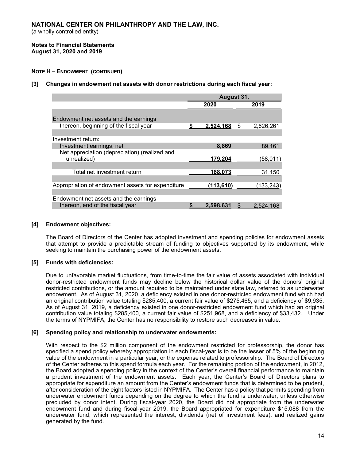(a wholly controlled entity)

## Notes to Financial Statements August 31, 2020 and 2019

# NOTE H – ENDOWMENT (CONTINUED)

# [3] Changes in endowment net assets with donor restrictions during each fiscal year:

|                                                   | August 31, |                  |     |                 |  |  |
|---------------------------------------------------|------------|------------------|-----|-----------------|--|--|
|                                                   | 2020       |                  |     | 2019            |  |  |
|                                                   |            |                  |     |                 |  |  |
| Endowment net assets and the earnings             |            |                  |     |                 |  |  |
| thereon, beginning of the fiscal year             |            | 2.524.168        | \$. | 2,626,261       |  |  |
|                                                   |            |                  |     |                 |  |  |
| Investment return:                                |            |                  |     |                 |  |  |
| Investment earnings, net                          |            | 8,869            |     | 89,161          |  |  |
| Net appreciation (depreciation) (realized and     |            |                  |     |                 |  |  |
| unrealized)                                       |            | 179.204          |     | <u>(58,011)</u> |  |  |
| Total net investment return                       |            |                  |     |                 |  |  |
|                                                   |            | 188.073          |     | 31,150          |  |  |
| Appropriation of endowment assets for expenditure |            | <u>(113.610)</u> |     | (133,243)       |  |  |
|                                                   |            |                  |     |                 |  |  |
| Endowment net assets and the earnings             |            |                  |     |                 |  |  |
| thereon, end of the fiscal year                   |            | 2.598.63         |     | 2.524.168       |  |  |

## [4] Endowment objectives:

The Board of Directors of the Center has adopted investment and spending policies for endowment assets that attempt to provide a predictable stream of funding to objectives supported by its endowment, while seeking to maintain the purchasing power of the endowment assets.

## [5] Funds with deficiencies:

Due to unfavorable market fluctuations, from time-to-time the fair value of assets associated with individual donor-restricted endowment funds may decline below the historical dollar value of the donors' original restricted contributions, or the amount required to be maintained under state law, referred to as underwater endowment. As of August 31, 2020, a deficiency existed in one donor-restricted endowment fund which had an original contribution value totaling \$285,400, a current fair value of \$275,465, and a deficiency of \$9,935. As of August 31, 2019, a deficiency existed in one donor-restricted endowment fund which had an original contribution value totaling \$285,400, a current fair value of \$251,968, and a deficiency of \$33,432. Under the terms of NYPMIFA, the Center has no responsibility to restore such decreases in value.

## [6] Spending policy and relationship to underwater endowments:

With respect to the \$2 million component of the endowment restricted for professorship, the donor has specified a spend policy whereby appropriation in each fiscal-year is to be the lesser of 5% of the beginning value of the endowment in a particular year, or the expense related to professorship. The Board of Directors of the Center adheres to this spend formula each year. For the remaining portion of the endowment, in 2012, the Board adopted a spending policy in the context of the Center's overall financial performance to maintain a prudent investment of the endowment assets. Each year, the Center's Board of Directors plans to appropriate for expenditure an amount from the Center's endowment funds that is determined to be prudent, after consideration of the eight factors listed in NYPMIFA. The Center has a policy that permits spending from underwater endowment funds depending on the degree to which the fund is underwater, unless otherwise precluded by donor intent. During fiscal-year 2020, the Board did not appropriate from the underwater endowment fund and during fiscal-year 2019, the Board appropriated for expenditure \$15,088 from the underwater fund, which represented the interest, dividends (net of investment fees), and realized gains generated by the fund.